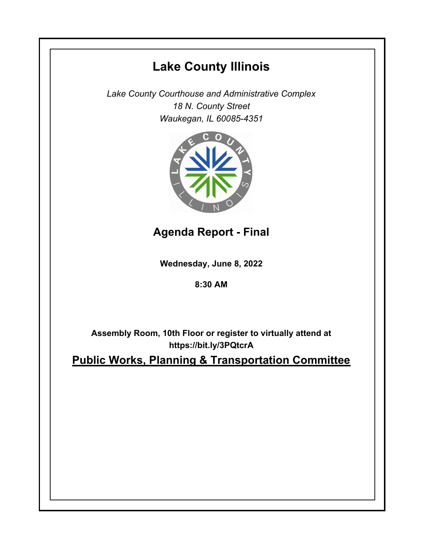# **Lake County Illinois**

*Lake County Courthouse and Administrative Complex 18 N. County Street Waukegan, IL 60085-4351*



**Agenda Report - Final**

**Wednesday, June 8, 2022**

**8:30 AM**

**Assembly Room, 10th Floor or register to virtually attend at https://bit.ly/3PQtcrA**

**Public Works, Planning & Transportation Committee**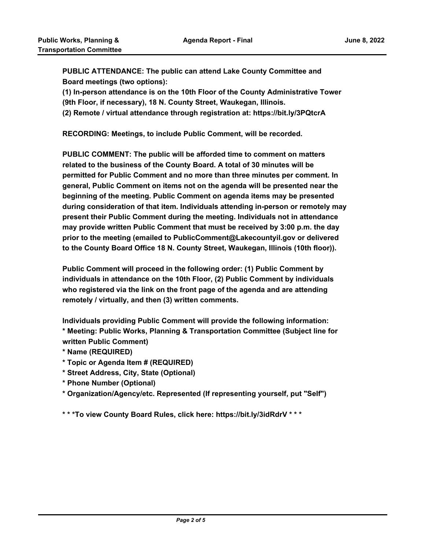**PUBLIC ATTENDANCE: The public can attend Lake County Committee and Board meetings (two options):** 

**(1) In-person attendance is on the 10th Floor of the County Administrative Tower (9th Floor, if necessary), 18 N. County Street, Waukegan, Illinois.**

**(2) Remote / virtual attendance through registration at: https://bit.ly/3PQtcrA**

**RECORDING: Meetings, to include Public Comment, will be recorded.**

**PUBLIC COMMENT: The public will be afforded time to comment on matters related to the business of the County Board. A total of 30 minutes will be permitted for Public Comment and no more than three minutes per comment. In general, Public Comment on items not on the agenda will be presented near the beginning of the meeting. Public Comment on agenda items may be presented during consideration of that item. Individuals attending in-person or remotely may present their Public Comment during the meeting. Individuals not in attendance may provide written Public Comment that must be received by 3:00 p.m. the day prior to the meeting (emailed to PublicComment@Lakecountyil.gov or delivered to the County Board Office 18 N. County Street, Waukegan, Illinois (10th floor)).** 

**Public Comment will proceed in the following order: (1) Public Comment by individuals in attendance on the 10th Floor, (2) Public Comment by individuals who registered via the link on the front page of the agenda and are attending remotely / virtually, and then (3) written comments.** 

**Individuals providing Public Comment will provide the following information: \* Meeting: Public Works, Planning & Transportation Committee (Subject line for written Public Comment)**

- **\* Name (REQUIRED)**
- **\* Topic or Agenda Item # (REQUIRED)**
- **\* Street Address, City, State (Optional)**
- **\* Phone Number (Optional)**
- **\* Organization/Agency/etc. Represented (If representing yourself, put "Self")**

**\* \* \*To view County Board Rules, click here: https://bit.ly/3idRdrV \* \* \***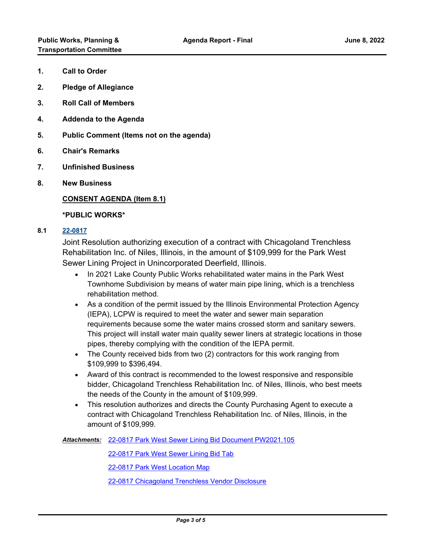- **1. Call to Order**
- **2. Pledge of Allegiance**
- **3. Roll Call of Members**
- **4. Addenda to the Agenda**
- **5. Public Comment (Items not on the agenda)**
- **6. Chair's Remarks**
- **7. Unfinished Business**
- **8. New Business**

## **CONSENT AGENDA (Item 8.1)**

#### **\*PUBLIC WORKS\***

## **8.1 [22-0817](http://lakecounty.legistar.com/gateway.aspx?m=l&id=/matter.aspx?key=26603)**

Joint Resolution authorizing execution of a contract with Chicagoland Trenchless Rehabilitation Inc. of Niles, Illinois, in the amount of \$109,999 for the Park West Sewer Lining Project in Unincorporated Deerfield, Illinois.

- · In 2021 Lake County Public Works rehabilitated water mains in the Park West Townhome Subdivision by means of water main pipe lining, which is a trenchless rehabilitation method.
- · As a condition of the permit issued by the Illinois Environmental Protection Agency (IEPA), LCPW is required to meet the water and sewer main separation requirements because some the water mains crossed storm and sanitary sewers. This project will install water main quality sewer liners at strategic locations in those pipes, thereby complying with the condition of the IEPA permit.
- · The County received bids from two (2) contractors for this work ranging from \$109,999 to \$396,494.
- · Award of this contract is recommended to the lowest responsive and responsible bidder, Chicagoland Trenchless Rehabilitation Inc. of Niles, Illinois, who best meets the needs of the County in the amount of \$109,999.
- · This resolution authorizes and directs the County Purchasing Agent to execute a contract with Chicagoland Trenchless Rehabilitation Inc. of Niles, Illinois, in the amount of \$109,999.

[22-0817 Park West Sewer Lining Bid Document PW2021.105](http://lakecounty.legistar.com/gateway.aspx?M=F&ID=f49541e2-9db6-4bbe-bc90-1249e815b731.pdf) *Attachments:*

[22-0817 Park West Sewer Lining Bid Tab](http://lakecounty.legistar.com/gateway.aspx?M=F&ID=c0a75fb6-045c-4e4c-91e5-b2e27800d26f.pdf)

[22-0817 Park West Location Map](http://lakecounty.legistar.com/gateway.aspx?M=F&ID=d6746738-ca21-4982-a13e-78374ed0af22.pdf)

[22-0817 Chicagoland Trenchless Vendor Disclosure](http://lakecounty.legistar.com/gateway.aspx?M=F&ID=ec47d11a-b6bc-4d8e-93fc-110d08492576.pdf)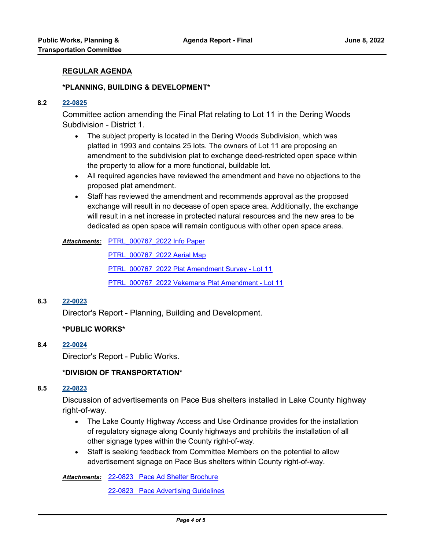#### **REGULAR AGENDA**

#### **\*PLANNING, BUILDING & DEVELOPMENT\***

#### **8.2 [22-0825](http://lakecounty.legistar.com/gateway.aspx?m=l&id=/matter.aspx?key=26611)**

Committee action amending the Final Plat relating to Lot 11 in the Dering Woods Subdivision - District 1.

- · The subject property is located in the Dering Woods Subdivision, which was platted in 1993 and contains 25 lots. The owners of Lot 11 are proposing an amendment to the subdivision plat to exchange deed-restricted open space within the property to allow for a more functional, buildable lot.
- · All required agencies have reviewed the amendment and have no objections to the proposed plat amendment.
- · Staff has reviewed the amendment and recommends approval as the proposed exchange will result in no decease of open space area. Additionally, the exchange will result in a net increase in protected natural resources and the new area to be dedicated as open space will remain contiguous with other open space areas.

[PTRL\\_000767\\_2022 Info Paper](http://lakecounty.legistar.com/gateway.aspx?M=F&ID=b2ddb30a-8da4-47ae-8749-7287048d54c5.pdf) *Attachments:*

[PTRL\\_000767\\_2022 Aerial Map](http://lakecounty.legistar.com/gateway.aspx?M=F&ID=458f8c5e-6a14-4040-9834-369a3fdcc084.pdf)

[PTRL\\_000767\\_2022 Plat Amendment Survey - Lot 11](http://lakecounty.legistar.com/gateway.aspx?M=F&ID=c40de9f7-c7d8-4f0f-80b8-df466708ca73.PDF)

[PTRL\\_000767\\_2022 Vekemans Plat Amendment - Lot 11](http://lakecounty.legistar.com/gateway.aspx?M=F&ID=17561329-fa2d-4d48-965c-43582f661209.pdf)

#### **8.3 [22-0023](http://lakecounty.legistar.com/gateway.aspx?m=l&id=/matter.aspx?key=25805)**

Director's Report - Planning, Building and Development.

## **\*PUBLIC WORKS\***

## **8.4 [22-0024](http://lakecounty.legistar.com/gateway.aspx?m=l&id=/matter.aspx?key=25806)**

Director's Report - Public Works.

#### **\*DIVISION OF TRANSPORTATION\***

## **8.5 [22-0823](http://lakecounty.legistar.com/gateway.aspx?m=l&id=/matter.aspx?key=26609)**

Discussion of advertisements on Pace Bus shelters installed in Lake County highway right-of-way.

- · The Lake County Highway Access and Use Ordinance provides for the installation of regulatory signage along County highways and prohibits the installation of all other signage types within the County right-of-way.
- · Staff is seeking feedback from Committee Members on the potential to allow advertisement signage on Pace Bus shelters within County right-of-way.

Attachments: [22-0823 Pace Ad Shelter Brochure](http://lakecounty.legistar.com/gateway.aspx?M=F&ID=d37c8e85-be9c-4603-aec6-0274bcbb5df3.pdf)

[22-0823 Pace Advertising Guidelines](http://lakecounty.legistar.com/gateway.aspx?M=F&ID=0b148d59-fc2e-4c89-b2a1-a72b888f0647.pdf)